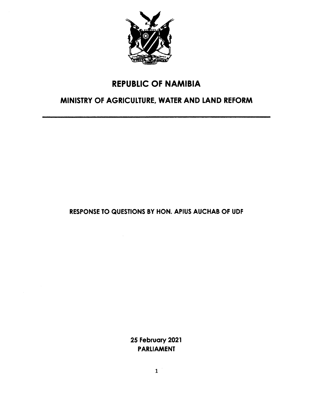

# REPUBLIC OF NAMIBIA

# MINISTRY OF AGRICULTURE, WATER AND LAND REFORM

RESPONSETO QUESTIONS BY HON. APIUS AUCHAB OF UDF

25 February 2021 PARLIAMENT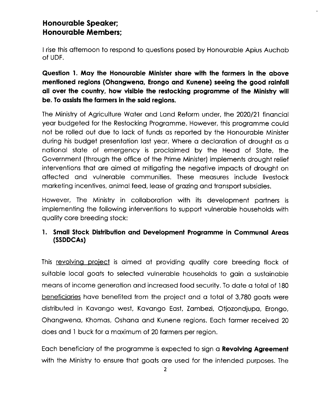## **Honourable Speaker; Honourable Members;**

I rise this afternoon to respond to questions posed by Honourable Apius Auchab of UDF.

**Question 1. May the Honourable Minister share with the farmers in the above mentioned regions (Ohangwena, Erongo and Kunene) seeing the good rainfall all over the country, how visible the restocking programme of the Ministry will be.** To assists the farmers in the said regions.

The Ministry of Agriculture Water and Land Reform under, the 2020/21 financial year budgeted for the Restocking Programme. However, this programme could not be rolled out due to lack of funds as reported by the Honourable Minister during his budget presentation last year. Where a declaration of drought as a national state of emergency is proclaimed by the Head of State, the Government (through the office of the Prime Minister) implements drought relief interventions that are aimed at mitigating the negative impacts of drought on affected and vulnerable communities. These measures include livestock marketing incentives, animal feed, lease of grazing and transport subsidies.

However, The Ministry in collaboration with its development partners is implementing the following interventions to support vulnerable households with quality core breeding stock:

#### **1. Small Stock Distributionand Development Programme in Communal Areas (SSDDCAs)**

This revolving project is aimed at providing quality core breeding flock of suitable local goats to selected vulnerable households to gain a sustainable means of income generation and increased food security. To date a total of 180 beneficiaries have benefited from the project and a total of 3,780 goats were distributed in Kavango west, Kavango East, Zambezi, Otjozondjupa, Erongo, Ohangwena, Khomas, Oshana and Kunene regions. Each farmer received 20 does and 1buck for a maximum of 20 farmers per region.

Each beneficiary of the programme is expected to sign a **Revolving Agreement** with the Ministry to ensure that goats are used for the intended purposes. The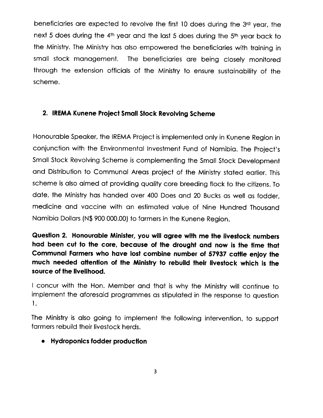beneficiaries are expected to revolve the first 10 does during the 3rd year, the next 5 does during the 4th year and the last 5 does during the 5th year back to the Ministry. The Ministry has also empowered the beneficiaries with training in small stock management. The beneficiaries are being closely monitored through the extension officials of the Ministry to ensure sustainability of the scheme.

#### **2. IREMAKunene Project Small Stock RevolvingScheme**

Honourable Speaker, the IREMA Project is implemented only in Kunene Region in conjunction with the Environmental Investment Fund of Namibia. The Project's Small Stock Revolving Scheme is complementing the Small Stock Development and Distribution to Communal Areas project of the Ministry stated earlier. This scheme is also aimed at providing quality core breeding flock to the citizens. To date, the Ministry has handed over 400 Does and 20 Bucks as well as fodder, medicine and vaccine with an estimated value of Nine Hundred Thousand Namibia Dollars (N\$ 900 000.00) to farmers in the Kunene Region.

**Question 2. Honourable Minister, you will agree with me the livestock numbers had been cut to the core, because of the drought and now is the time that Communal Farmers who have lost combine number of 57937 cattle enjoy the much needed attention of the Ministry to rebuild their livestock which is the source of the livelihood.**

I concur with the Hon. Member and that is why the Ministry will continue to implement the aforesaid programmes as stipulated in the response to question 1.

The Ministry is also going to implement the following intervention, to support farmers rebuild their livestock herds.

**• Hydroponics fodder production**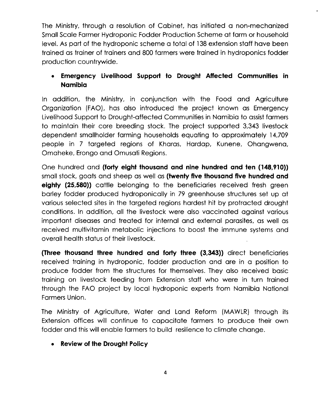The Ministry, through a resolution of Cabinet, has initiated a non-mechanized Small Scale Farmer Hydroponic Fodder Production Scheme at farm or household level. As part of the hydroponic scheme a total of 138extension staff have been trained as trainer of trainers and 800 farmers were trained in hydroponics fodder production countrywide.

### **• Emergency Livelihood Support to Drought Affected Communities in Namibia**

In addition, the Ministry, in conjunction with the Food and Agriculture Organization (FAO), has also introduced the project known as Emergency Livelihood Support to Drought-affected Communities in Namibia to assistfarmers to maintain their core breeding stock. The project supported 3,343 livestock dependent smallholder farming households equating to approximately 14,709 people in 7 targeted regions of Kharas, Hardap, Kunene, Ohangwena, Omaheke, Erongo and Omusati Regions.

One hundred and **(forty eight thousand and nine hundred and ten (148,910»** small stock, goats and sheep as well as **(twenty five thousand five hundred and eighty (25,580))** cattle belonging to the beneficiaries received fresh green barley fodder produced hydroponically in 79 greenhouse structures set up at various selected sites in the targeted regions hardest hit by protracted drought conditions. In addition, all the livestock were also vaccinated against various important diseases and treated for internal and external parasites, as well as received multivitamin metabolic injections to boost the immune systems and overall health status of their livestock.

**(Three thousand three hundred and forty three (3,343»** direct beneficiaries received training in hydroponic, fodder production and are in a position to produce fodder from the structures for themselves. They also received basic training on livestock feeding from Extension staff who were in turn trained through the FAO project by local hydroponic experts from Namibia National Farmers Union.

The Ministry of Agriculture, Water and Land Reform (MAWLR) through its Extension offices will continue to capacitate farmers to produce their own fodder and thiswill enable farmers to build resilience to climate change.

#### **• Review of the Drought Policy**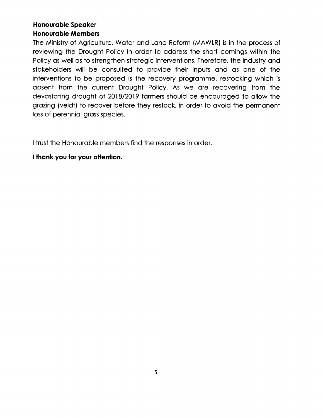#### **Honourable Speaker Honourable Members**

The Ministry of Agriculture, Water and Land Reform (MAWLR) is in the process of reviewing the Drought Policy in order to address the short comings within the Policy as well as to strengthen strategic interventions. Therefore, the industry and stakeholders will be consulted to provide their inputs and as one of the interventions to be proposed is the recovery programme, restocking which is absent from the current Drought Policy. As we are recovering from the devastating drought of 2018/2019 farmers should be encouraged to allow the grazing (veldt) to recover before they restock, in order to avoid the permanent loss of perennial grass species.

I trust the Honourable members find the responses in order.

#### **I thank you for your aHention.**